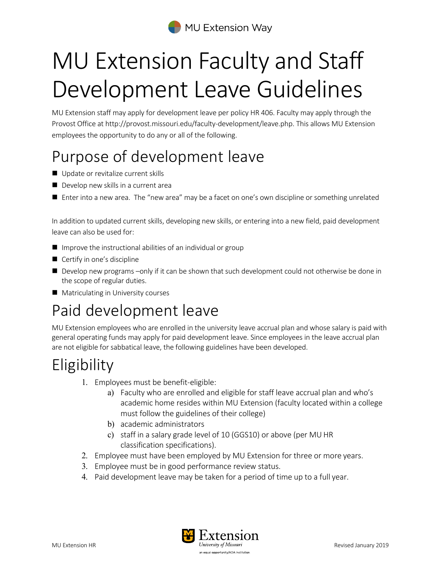

# MU Extension Faculty and Staff Development Leave Guidelines

MU Extension staff may apply for development leave per policy HR 406. Faculty may apply through the Provost Office at http://provost.missouri.edu/faculty-development/leave.php. This allows MU Extension employees the opportunity to do any or all of the following.

## Purpose of development leave

- Update or revitalize current skills
- Develop new skills in a current area
- Enter into a new area. The "new area" may be a facet on one's own discipline or something unrelated

In addition to updated current skills, developing new skills, or entering into a new field, paid development leave can also be used for:

- $\blacksquare$  Improve the instructional abilities of an individual or group
- Certify in one's discipline
- $\blacksquare$  Develop new programs –only if it can be shown that such development could not otherwise be done in the scope of regular duties.
- **Matriculating in University courses**

### Paid development leave

MU Extension employees who are enrolled in the university leave accrual plan and whose salary is paid with general operating funds may apply for paid development leave. Since employees in the leave accrual plan are not eligible for sabbatical leave, the following guidelines have been developed.

### **Eligibility**

- 1. Employees must be benefit-eligible:
	- a) Faculty who are enrolled and eligible for staff leave accrual plan and who's academic home resides within MU Extension (faculty located within a college must follow the guidelines of their college)
	- b) academic administrators
	- c) staff in a salary grade level of 10 (GGS10) or above (per MU HR classification specifications).
- 2. Employee must have been employed by MU Extension for three or more years.
- 3. Employee must be in good performance review status.
- 4. Paid development leave may be taken for a period of time up to a full year.

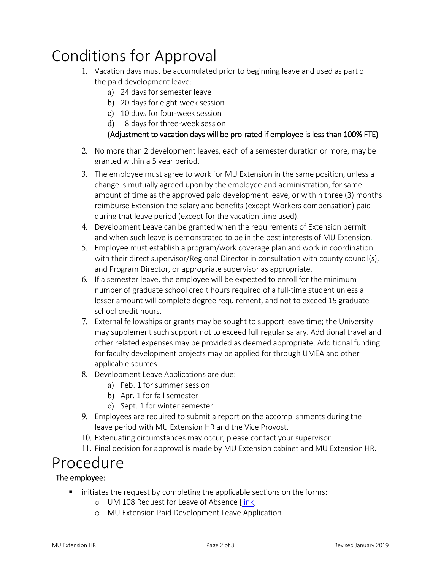### Conditions for Approval

- 1. Vacation days must be accumulated prior to beginning leave and used as part of the paid development leave:
	- a) 24 days for semester leave
	- b) 20 days for eight-week session
	- c) 10 days for four-week session
	- d) 8 days for three-week session

#### (Adjustment to vacation days will be pro-rated if employee is less than 100% FTE)

- 2. No more than 2 development leaves, each of a semester duration or more, may be granted within a 5 year period.
- 3. The employee must agree to work for MU Extension in the same position, unless a change is mutually agreed upon by the employee and administration, for same amount of time as the approved paid development leave, or within three (3) months reimburse Extension the salary and benefits (except Workers compensation) paid during that leave period (except for the vacation time used).
- 4. Development Leave can be granted when the requirements of Extension permit and when such leave is demonstrated to be in the best interests of MU Extension.
- 5. Employee must establish a program/work coverage plan and work in coordination with their direct supervisor/Regional Director in consultation with county council(s), and Program Director, or appropriate supervisor as appropriate.
- 6. If a semester leave, the employee will be expected to enroll for the minimum number of graduate school credit hours required of a full-time student unless a lesser amount will complete degree requirement, and not to exceed 15 graduate school credit hours.
- 7. External fellowships or grants may be sought to support leave time; the University may supplement such support not to exceed full regular salary. Additional travel and other related expenses may be provided as deemed appropriate. Additional funding for faculty development projects may be applied for through UMEA and other applicable sources.
- 8. Development Leave Applications are due:
	- a) Feb. 1 for summer session
	- b) Apr. 1 for fall semester
	- c) Sept. 1 for winter semester
- 9. Employees are required to submit a report on the accomplishments during the leave period with MU Extension HR and the Vice Provost.
- 10. Extenuating circumstances may occur, please contact your supervisor.
- 11. Final decision for approval is made by MU Extension cabinet and MU Extension HR.

#### Procedure

#### The employee:

- initiates the request by completing the applicable sections on the forms:
	- o UM 108 Request for Leave of Absence [\[link\]](http://www.umsystem.edu/media/fa/management/records/forms/human/um108.pdf)
	- o MU Extension Paid Development Leave Application